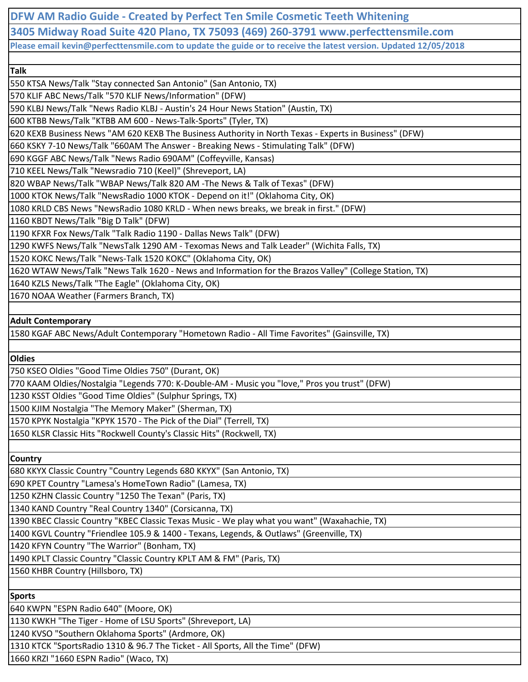**DFW AM Radio Guide - Created by Perfect Ten Smile Cosmetic Teeth Whitening 3405 Midway Road Suite 420 Plano, TX 75093 (469) 260-3791 www.perfecttensmile.com Please email kevin@perfecttensmile.com to update the guide or to receive the latest version. Updated 12/05/2018 Talk** 550 KTSA News/Talk "Stay connected San Antonio" (San Antonio, TX) 570 KLIF ABC News/Talk "570 KLIF News/Information" (DFW) 590 KLBJ News/Talk "News Radio KLBJ - Austin's 24 Hour News Station" (Austin, TX) 600 KTBB News/Talk "KTBB AM 600 - News-Talk-Sports" (Tyler, TX) 620 KEXB Business News "AM 620 KEXB The Business Authority in North Texas - Experts in Business" (DFW) 660 KSKY 7-10 News/Talk "660AM The Answer - Breaking News - Stimulating Talk" (DFW) 690 KGGF ABC News/Talk "News Radio 690AM" (Coffeyville, Kansas) 710 KEEL News/Talk "Newsradio 710 (Keel)" (Shreveport, LA) 820 WBAP News/Talk "WBAP News/Talk 820 AM -The News & Talk of Texas" (DFW) 1000 KTOK News/Talk "NewsRadio 1000 KTOK - Depend on it!" (Oklahoma City, OK) 1080 KRLD CBS News "NewsRadio 1080 KRLD - When news breaks, we break in first." (DFW) 1160 KBDT News/Talk "Big D Talk" (DFW) 1190 KFXR Fox News/Talk "Talk Radio 1190 - Dallas News Talk" (DFW) 1290 KWFS News/Talk "NewsTalk 1290 AM - Texomas News and Talk Leader" (Wichita Falls, TX)

1520 KOKC News/Talk "News-Talk 1520 KOKC" (Oklahoma City, OK)

1620 WTAW News/Talk "News Talk 1620 - News and Information for the Brazos Valley" (College Station, TX)

1640 KZLS News/Talk "The Eagle" (Oklahoma City, OK)

1670 NOAA Weather (Farmers Branch, TX)

### **Adult Contemporary**

1580 KGAF ABC News/Adult Contemporary "Hometown Radio - All Time Favorites" (Gainsville, TX)

**Oldies**

750 KSEO Oldies "Good Time Oldies 750" (Durant, OK)

770 KAAM Oldies/Nostalgia "Legends 770: K-Double-AM - Music you "love," Pros you trust" (DFW)

1230 KSST Oldies "Good Time Oldies" (Sulphur Springs, TX)

1500 KJIM Nostalgia "The Memory Maker" (Sherman, TX)

1570 KPYK Nostalgia "KPYK 1570 - The Pick of the Dial" (Terrell, TX)

1650 KLSR Classic Hits "Rockwell County's Classic Hits" (Rockwell, TX)

**Country**

680 KKYX Classic Country "Country Legends 680 KKYX" (San Antonio, TX)

690 KPET Country "Lamesa's HomeTown Radio" (Lamesa, TX)

1250 KZHN Classic Country "1250 The Texan" (Paris, TX)

1340 KAND Country "Real Country 1340" (Corsicanna, TX)

1390 KBEC Classic Country "KBEC Classic Texas Music - We play what you want" (Waxahachie, TX)

1400 KGVL Country "Friendlee 105.9 & 1400 - Texans, Legends, & Outlaws" (Greenville, TX)

1420 KFYN Country "The Warrior" (Bonham, TX)

1490 KPLT Classic Country "Classic Country KPLT AM & FM" (Paris, TX)

1560 KHBR Country (Hillsboro, TX)

**Sports**

640 KWPN "ESPN Radio 640" (Moore, OK)

1130 KWKH "The Tiger - Home of LSU Sports" (Shreveport, LA)

1240 KVSO "Southern Oklahoma Sports" (Ardmore, OK)

1310 KTCK "SportsRadio 1310 & 96.7 The Ticket - All Sports, All the Time" (DFW)

1660 KRZI "1660 ESPN Radio" (Waco, TX)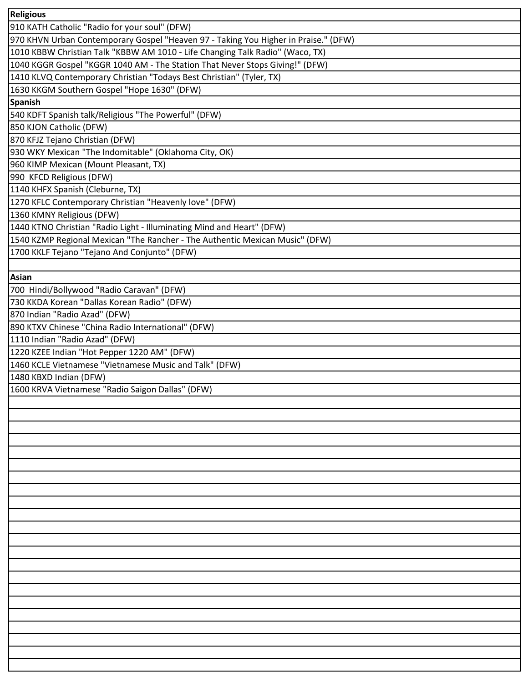| <b>Religious</b>                                                                    |
|-------------------------------------------------------------------------------------|
| 910 KATH Catholic "Radio for your soul" (DFW)                                       |
| 970 KHVN Urban Contemporary Gospel "Heaven 97 - Taking You Higher in Praise." (DFW) |
| 1010 KBBW Christian Talk "KBBW AM 1010 - Life Changing Talk Radio" (Waco, TX)       |
| 1040 KGGR Gospel "KGGR 1040 AM - The Station That Never Stops Giving!" (DFW)        |
| 1410 KLVQ Contemporary Christian "Todays Best Christian" (Tyler, TX)                |
| 1630 KKGM Southern Gospel "Hope 1630" (DFW)                                         |
| <b>Spanish</b>                                                                      |
| 540 KDFT Spanish talk/Religious "The Powerful" (DFW)                                |
| 850 KJON Catholic (DFW)                                                             |
| 870 KFJZ Tejano Christian (DFW)                                                     |
| 930 WKY Mexican "The Indomitable" (Oklahoma City, OK)                               |
| 960 KIMP Mexican (Mount Pleasant, TX)                                               |
| 990 KFCD Religious (DFW)                                                            |
| 1140 KHFX Spanish (Cleburne, TX)                                                    |
| 1270 KFLC Contemporary Christian "Heavenly love" (DFW)                              |
| 1360 KMNY Religious (DFW)                                                           |
| 1440 KTNO Christian "Radio Light - Illuminating Mind and Heart" (DFW)               |
| 1540 KZMP Regional Mexican "The Rancher - The Authentic Mexican Music" (DFW)        |
| 1700 KKLF Tejano "Tejano And Conjunto" (DFW)                                        |
|                                                                                     |
| <b>Asian</b>                                                                        |
| 700 Hindi/Bollywood "Radio Caravan" (DFW)                                           |
| 730 KKDA Korean "Dallas Korean Radio" (DFW)                                         |
| 870 Indian "Radio Azad" (DFW)                                                       |
| 890 KTXV Chinese "China Radio International" (DFW)                                  |
| 1110 Indian "Radio Azad" (DFW)                                                      |
| 1220 KZEE Indian "Hot Pepper 1220 AM" (DFW)                                         |
| 1460 KCLE Vietnamese "Vietnamese Music and Talk" (DFW)                              |
| 1480 KBXD Indian (DFW)                                                              |
| 1600 KRVA Vietnamese "Radio Saigon Dallas" (DFW)                                    |
|                                                                                     |
|                                                                                     |
|                                                                                     |
|                                                                                     |
|                                                                                     |
|                                                                                     |
|                                                                                     |
|                                                                                     |
|                                                                                     |
|                                                                                     |
|                                                                                     |
|                                                                                     |
|                                                                                     |
|                                                                                     |
|                                                                                     |
|                                                                                     |
|                                                                                     |
|                                                                                     |
|                                                                                     |
|                                                                                     |
|                                                                                     |
|                                                                                     |
|                                                                                     |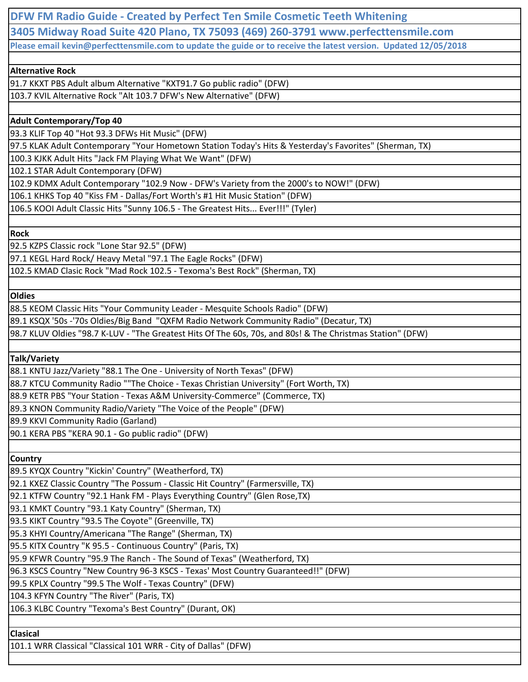**DFW FM Radio Guide - Created by Perfect Ten Smile Cosmetic Teeth Whitening 3405 Midway Road Suite 420 Plano, TX 75093 (469) 260-3791 www.perfecttensmile.com Please email kevin@perfecttensmile.com to update the guide or to receive the latest version. Updated 12/05/2018**

# **Alternative Rock**

91.7 KKXT PBS Adult album Alternative "KXT91.7 Go public radio" (DFW) 103.7 KVIL Alternative Rock "Alt 103.7 DFW's New Alternative" (DFW)

# **Adult Contemporary/Top 40**

93.3 KLIF Top 40 "Hot 93.3 DFWs Hit Music" (DFW)

97.5 KLAK Adult Contemporary "Your Hometown Station Today's Hits & Yesterday's Favorites" (Sherman, TX)

100.3 KJKK Adult Hits "Jack FM Playing What We Want" (DFW)

102.1 STAR Adult Contemporary (DFW)

102.9 KDMX Adult Contemporary "102.9 Now - DFW's Variety from the 2000's to NOW!" (DFW)

106.1 KHKS Top 40 "Kiss FM - Dallas/Fort Worth's #1 Hit Music Station" (DFW)

106.5 KOOI Adult Classic Hits "Sunny 106.5 - The Greatest Hits... Ever!!!" (Tyler)

## **Rock**

92.5 KZPS Classic rock "Lone Star 92.5" (DFW)

97.1 KEGL Hard Rock/ Heavy Metal "97.1 The Eagle Rocks" (DFW)

102.5 KMAD Clasic Rock "Mad Rock 102.5 - Texoma's Best Rock" (Sherman, TX)

### **Oldies**

88.5 KEOM Classic Hits "Your Community Leader - Mesquite Schools Radio" (DFW)

89.1 KSQX '50s -'70s Oldies/Big Band "QXFM Radio Network Community Radio" (Decatur, TX)

98.7 KLUV Oldies "98.7 K-LUV - "The Greatest Hits Of The 60s, 70s, and 80s! & The Christmas Station" (DFW)

**Talk/Variety**

88.1 KNTU Jazz/Variety "88.1 The One - University of North Texas" (DFW)

88.7 KTCU Community Radio ""The Choice - Texas Christian University" (Fort Worth, TX)

88.9 KETR PBS "Your Station - Texas A&M University-Commerce" (Commerce, TX)

89.3 KNON Community Radio/Variety "The Voice of the People" (DFW)

89.9 KKVI Community Radio (Garland)

90.1 KERA PBS "KERA 90.1 - Go public radio" (DFW)

**Country**

89.5 KYQX Country "Kickin' Country" (Weatherford, TX)

92.1 KXEZ Classic Country "The Possum - Classic Hit Country" (Farmersville, TX)

92.1 KTFW Country "92.1 Hank FM - Plays Everything Country" (Glen Rose,TX)

93.1 KMKT Country "93.1 Katy Country" (Sherman, TX)

93.5 KIKT Country "93.5 The Coyote" (Greenville, TX)

95.3 KHYI Country/Americana "The Range" (Sherman, TX)

95.5 KITX Country "K 95.5 - Continuous Country" (Paris, TX)

95.9 KFWR Country "95.9 The Ranch - The Sound of Texas" (Weatherford, TX)

96.3 KSCS Country "New Country 96-3 KSCS - Texas' Most Country Guaranteed!!" (DFW)

99.5 KPLX Country "99.5 The Wolf - Texas Country" (DFW)

104.3 KFYN Country "The River" (Paris, TX)

106.3 KLBC Country "Texoma's Best Country" (Durant, OK)

**Clasical**

101.1 WRR Classical "Classical 101 WRR - City of Dallas" (DFW)